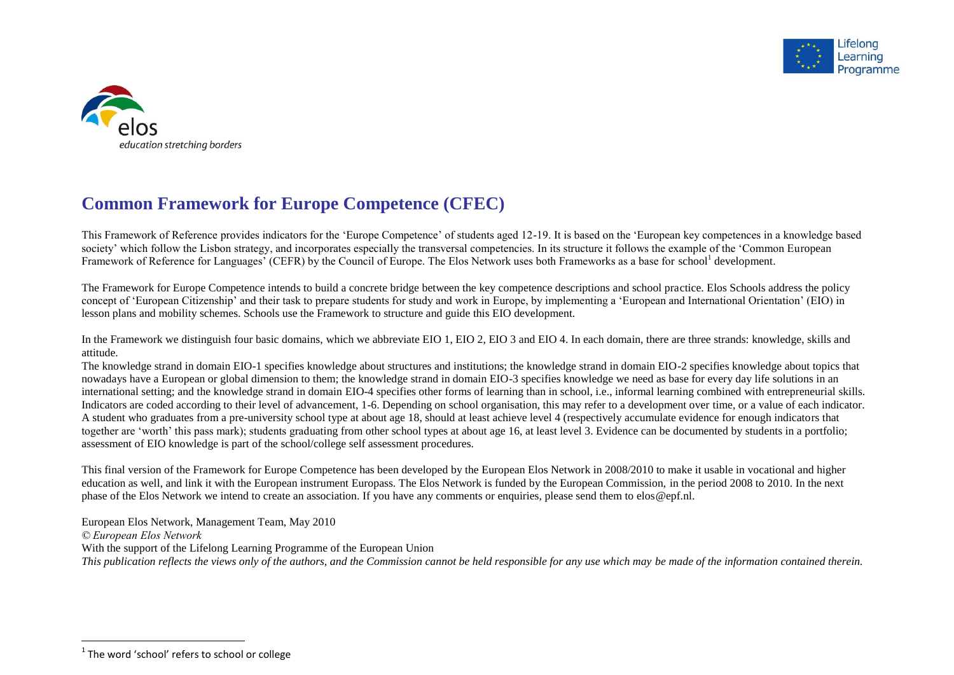



## **Common Framework for Europe Competence (CFEC)**

This Framework of Reference provides indicators for the 'Europe Competence' of students aged 12-19. It is based on the 'European key competences in a knowledge based society' which follow the Lisbon strategy, and incorporates especially the transversal competencies. In its structure it follows the example of the 'Common European Framework of Reference for Languages' (CEFR) by the Council of Europe. The Elos Network uses both Frameworks as a base for school<sup>1</sup> development.

The Framework for Europe Competence intends to build a concrete bridge between the key competence descriptions and school practice. Elos Schools address the policy concept of 'European Citizenship' and their task to prepare students for study and work in Europe, by implementing a 'European and International Orientation' (EIO) in lesson plans and mobility schemes. Schools use the Framework to structure and guide this EIO development.

In the Framework we distinguish four basic domains, which we abbreviate EIO 1, EIO 2, EIO 3 and EIO 4. In each domain, there are three strands: knowledge, skills and attitude.

The knowledge strand in domain EIO-1 specifies knowledge about structures and institutions; the knowledge strand in domain EIO-2 specifies knowledge about topics that nowadays have a European or global dimension to them; the knowledge strand in domain EIO-3 specifies knowledge we need as base for every day life solutions in an international setting; and the knowledge strand in domain EIO-4 specifies other forms of learning than in school, i.e., informal learning combined with entrepreneurial skills. Indicators are coded according to their level of advancement, 1-6. Depending on school organisation, this may refer to a development over time, or a value of each indicator. A student who graduates from a pre-university school type at about age 18, should at least achieve level 4 (respectively accumulate evidence for enough indicators that together are 'worth' this pass mark); students graduating from other school types at about age 16, at least level 3. Evidence can be documented by students in a portfolio; assessment of EIO knowledge is part of the school/college self assessment procedures.

This final version of the Framework for Europe Competence has been developed by the European Elos Network in 2008/2010 to make it usable in vocational and higher education as well, and link it with the European instrument Europass. The Elos Network is funded by the European Commission, in the period 2008 to 2010. In the next phase of the Elos Network we intend to create an association. If you have any comments or enquiries, please send them to elos@epf.nl.

European Elos Network, Management Team, May 2010 *© European Elos Network* With the support of the Lifelong Learning Programme of the European Union

*This publication reflects the views only of the authors, and the Commission cannot be held responsible for any use which may be made of the information contained therein.*

 1 The word 'school' refers to school or college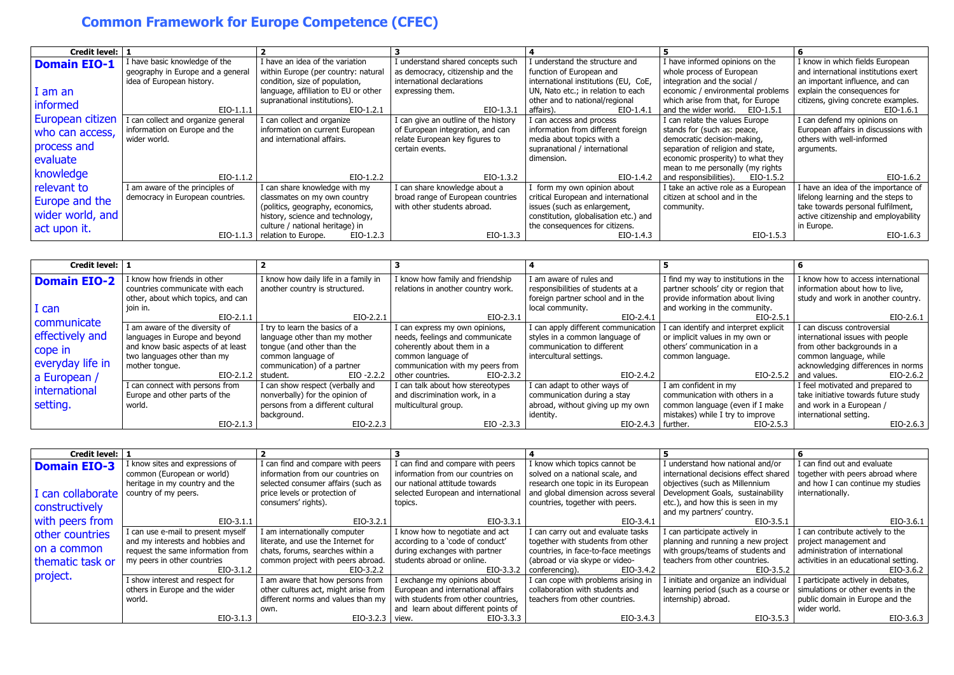## **Common Framework for Europe Competence (CFEC)**

| Credit level: 1         |                                    |                                      |                                      |                                       |                                     |                                      |
|-------------------------|------------------------------------|--------------------------------------|--------------------------------------|---------------------------------------|-------------------------------------|--------------------------------------|
| <b>Domain EIO-1</b>     | I have basic knowledge of the      | I have an idea of the variation      | I understand shared concepts such    | I understand the structure and        | I have informed opinions on the     | I know in which fields European      |
|                         | geography in Europe and a general  | within Europe (per country: natural  | as democracy, citizenship and the    | function of European and              | whole process of European           | and international institutions exert |
|                         | idea of European history.          | condition, size of population,       | international declarations           | international institutions (EU, CoE,  | integration and the social /        | an important influence, and can      |
| I am an                 |                                    | language, affiliation to EU or other | expressing them.                     | UN, Nato etc.; in relation to each    | economic / environmental problems   | explain the consequences for         |
| informed                |                                    | supranational institutions).         |                                      | other and to national/regional        | which arise from that, for Europe   | citizens, giving concrete examples.  |
|                         | $EIO-1.1.1$                        | EIO-1.2.1                            | $EIO-1.3.1$                          | EIO-1.4.1<br>affairs).                | and the wider world.<br>EIO-1.5.1   | EIO-1.6.1                            |
| <b>European citizen</b> | I can collect and organize general | I can collect and organize           | I can give an outline of the history | I can access and process              | I can relate the values Europe      | I can defend my opinions on          |
| who can access,         | information on Europe and the      | information on current European      | of European integration, and can     | information from different foreign    | stands for (such as: peace,         | European affairs in discussions with |
|                         | wider world.                       | and international affairs.           | relate European key figures to       | media about topics with a             | democratic decision-making,         | others with well-informed            |
| process and             |                                    |                                      | certain events.                      | supranational / international         | separation of religion and state,   | arguments.                           |
| evaluate                |                                    |                                      |                                      | dimension.                            | economic prosperity) to what they   |                                      |
| knowledge               |                                    |                                      |                                      |                                       | mean to me personally (my rights    |                                      |
|                         | $EIO-1.1.2$                        | $EIO-1.2.2$                          | EIO-1.3.2                            | EIO-1.4.2                             | and responsibilities).<br>EIO-1.5.2 | EIO-1.6.2                            |
| relevant to             | I am aware of the principles of    | I can share knowledge with my        | I can share knowledge about a        | form my own opinion about             | I take an active role as a European | I have an idea of the importance of  |
| Europe and the          | democracy in European countries.   | classmates on my own country         | broad range of European countries    | critical European and international   | citizen at school and in the        | lifelong learning and the steps to   |
|                         |                                    | (politics, geography, economics,     | with other students abroad.          | issues (such as enlargement,          | community.                          | take towards personal fulfilment,    |
| wider world, and        |                                    | history, science and technology,     |                                      | constitution, globalisation etc.) and |                                     | active citizenship and employability |
| act upon it.            |                                    | culture / national heritage) in      |                                      | the consequences for citizens.        |                                     | in Europe.                           |
|                         | $EIO-1.1.3$                        | relation to Europe.<br>$EIO-1.2.3$   | EIO-1.3.3                            | EIO-1.4.3                             | EIO-1.5.3                           | $EIO-1.6.3$                          |

| Credit level:   1   |                                    |                                      |                                    |                                     |                                       |                                      |
|---------------------|------------------------------------|--------------------------------------|------------------------------------|-------------------------------------|---------------------------------------|--------------------------------------|
| <b>Domain EIO-2</b> | I know how friends in other        | I know how daily life in a family in | I know how family and friendship   | I am aware of rules and             | I find my way to institutions in the  | I know how to access international   |
|                     | countries communicate with each    | another country is structured.       | relations in another country work. | responsibilities of students at a   | partner schools' city or region that  | information about how to live,       |
|                     | other, about which topics, and can |                                      |                                    | foreign partner school and in the   | provide information about living      | study and work in another country.   |
| I can               | join in.                           |                                      |                                    | local community.                    | and working in the community.         |                                      |
| communicate         | $EIO-2.1.1$                        | EIO-2.2.1                            | EIO-2.3.1                          | $EIO-2.4.1$                         | EIO-2.5.1                             | EIO-2.6.1                            |
|                     | I am aware of the diversity of     | I try to learn the basics of a       | I can express my own opinions,     | I can apply different communication | I can identify and interpret explicit | I can discuss controversial          |
| effectively and     | languages in Europe and beyond     | language other than my mother        | needs, feelings and communicate    | styles in a common language of      | or implicit values in my own or       | international issues with people     |
| cope in             | and know basic aspects of at least | tonque (and other than the           | coherently about them in a         | communication to different          | others' communication in a            | from other backgrounds in a          |
|                     | two languages other than my        | common language of                   | common language of                 | intercultural settings.             | common language.                      | common language, while               |
| everyday life in    | mother tonque.                     | communication) of a partner          | communication with my peers from   |                                     |                                       | acknowledging differences in norms   |
| a European /        | $EIO-2.1.2$ student.               | EIO -2.2.2 I                         | EIO-2.3.2<br>other countries.      | EIO-2.4.2                           |                                       | $EIO-2.5.2$ and values.<br>EIO-2.6.2 |
| international       | I can connect with persons from    | I can show respect (verbally and     | I can talk about how stereotypes   | I can adapt to other ways of        | I am confident in my                  | I feel motivated and prepared to     |
|                     | Europe and other parts of the      | nonverbally) for the opinion of      | and discrimination work, in a      | communication during a stay         | communication with others in a        | take initiative towards future study |
| setting.            | world.                             | persons from a different cultural    | multicultural group.               | abroad, without giving up my own    | common language (even if I make       | and work in a European /             |
|                     |                                    | background.                          |                                    | identity.                           | mistakes) while I try to improve      | international setting.               |
|                     | $EIO-2.1.3$                        | $EIO-2.2.3$                          | $EIO - 2.3.3$                      | $EIO-2.4.3$                         | further.<br>EIO-2.5.3                 | $EIO-2.6.3$                          |

| Credit level:       |                                    |                                      |                                     |                                     |                                       |                                       |
|---------------------|------------------------------------|--------------------------------------|-------------------------------------|-------------------------------------|---------------------------------------|---------------------------------------|
| <b>Domain EIO-3</b> | I know sites and expressions of    | I can find and compare with peers    | I can find and compare with peers   | I know which topics cannot be       | I understand how national and/or      | I can find out and evaluate           |
|                     | common (European or world)         | information from our countries on    | information from our countries on   | solved on a national scale, and     | international decisions effect shared | together with peers abroad where      |
|                     | heritage in my country and the     | selected consumer affairs (such as   | our national attitude towards       | research one topic in its European  | objectives (such as Millennium        | and how I can continue my studies     |
| I can collaborate   | country of my peers.               | price levels or protection of        | selected European and international | and global dimension across several | Development Goals, sustainability     | internationally.                      |
|                     |                                    |                                      |                                     |                                     |                                       |                                       |
| constructively      |                                    | consumers' rights).                  | topics.                             | countries, together with peers.     | etc.), and how this is seen in my     |                                       |
|                     |                                    |                                      |                                     |                                     | and my partners' country.             |                                       |
| with peers from     | $EIO-3.1.1$                        | EIO-3.2.1                            | EIO-3.3.1                           | EIO-3.4.1                           | EIO-3.5.1                             | EIO-3.6.1                             |
| other countries     | I can use e-mail to present myself | I am internationally computer        | I know how to negotiate and act     | I can carry out and evaluate tasks  | I can participate actively in         | I can contribute actively to the      |
|                     | and my interests and hobbies and   | literate, and use the Internet for   | according to a 'code of conduct'    | together with students from other   | planning and running a new project    | project management and                |
| on a common         | request the same information from  | chats, forums, searches within a     | during exchanges with partner       | countries, in face-to-face meetings | with groups/teams of students and     | administration of international       |
| thematic task or    | my peers in other countries        | common project with peers abroad.    | students abroad or online.          | (abroad or via skype or video-      | teachers from other countries.        | activities in an educational setting. |
|                     | EIO-3.1.2                          | EIO-3.2.2                            | EIO-3.3.2                           | EIO-3.4.2<br>conferencing).         | EIO-3.5.2                             | $EIO-3.6.2$                           |
| project.            | I show interest and respect for    | I am aware that how persons from     | I exchange my opinions about        | I can cope with problems arising in | I initiate and organize an individual | I participate actively in debates,    |
|                     | others in Europe and the wider     | other cultures act, might arise from | European and international affairs  | collaboration with students and     | learning period (such as a course or  | simulations or other events in the    |
|                     | world.                             | different norms and values than my   | with students from other countries, | teachers from other countries.      | internship) abroad.                   | public domain in Europe and the       |
|                     |                                    | own.                                 | and learn about different points of |                                     |                                       | wider world.                          |
|                     | $EIO-3.1.3$                        | $EIO-3.2.3$ view.                    | $EIO-3.3.3$                         | EIO-3.4.3                           | EIO-3.5.3                             | $EIO-3.6.3$                           |